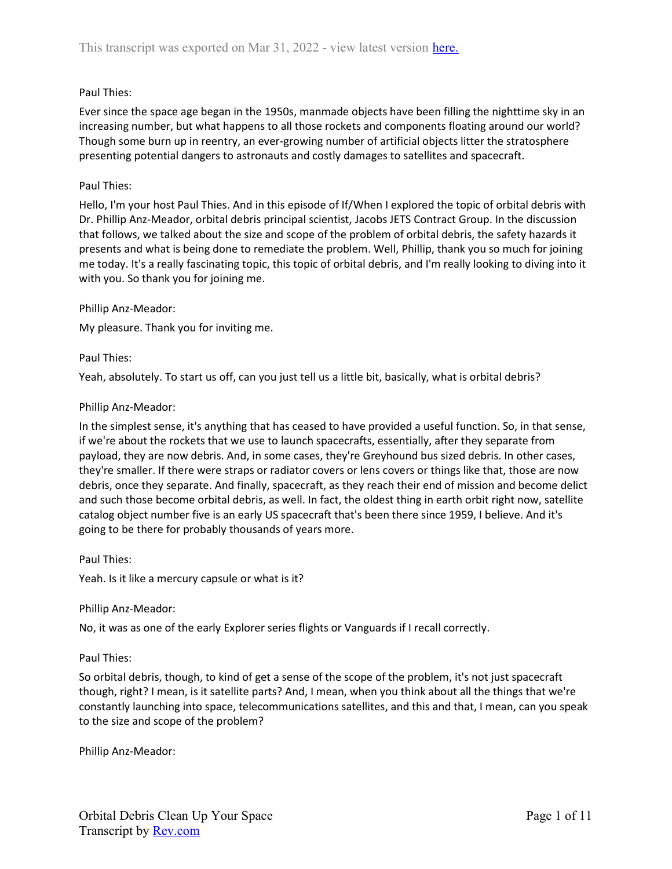# Paul Thies:

Ever since the space age began in the 1950s, manmade objects have been filling the nighttime sky in an increasing number, but what happens to all those rockets and components floating around our world? Though some burn up in reentry, an ever-growing number of artificial objects litter the stratosphere presenting potential dangers to astronauts and costly damages to satellites and spacecraft.

#### Paul Thies:

Hello, I'm your host Paul Thies. And in this episode of If/When I explored the topic of orbital debris with Dr. Phillip Anz-Meador, orbital debris principal scientist, Jacobs JETS Contract Group. In the discussion that follows, we talked about the size and scope of the problem of orbital debris, the safety hazards it presents and what is being done to remediate the problem. Well, Phillip, thank you so much for joining me today. It's a really fascinating topic, this topic of orbital debris, and I'm really looking to diving into it with you. So thank you for joining me.

#### Phillip Anz-Meador:

My pleasure. Thank you for inviting me.

#### Paul Thies:

Yeah, absolutely. To start us off, can you just tell us a little bit, basically, what is orbital debris?

#### Phillip Anz-Meador:

In the simplest sense, it's anything that has ceased to have provided a useful function. So, in that sense, if we're about the rockets that we use to launch spacecrafts, essentially, after they separate from payload, they are now debris. And, in some cases, they're Greyhound bus sized debris. In other cases, they're smaller. If there were straps or radiator covers or lens covers or things like that, those are now debris, once they separate. And finally, spacecraft, as they reach their end of mission and become delict and such those become orbital debris, as well. In fact, the oldest thing in earth orbit right now, satellite catalog object number five is an early US spacecraft that's been there since 1959, I believe. And it's going to be there for probably thousands of years more.

#### Paul Thies:

Yeah. Is it like a mercury capsule or what is it?

#### Phillip Anz-Meador:

No, it was as one of the early Explorer series flights or Vanguards if I recall correctly.

#### Paul Thies:

So orbital debris, though, to kind of get a sense of the scope of the problem, it's not just spacecraft though, right? I mean, is it satellite parts? And, I mean, when you think about all the things that we're constantly launching into space, telecommunications satellites, and this and that, I mean, can you speak to the size and scope of the problem?

Phillip Anz-Meador: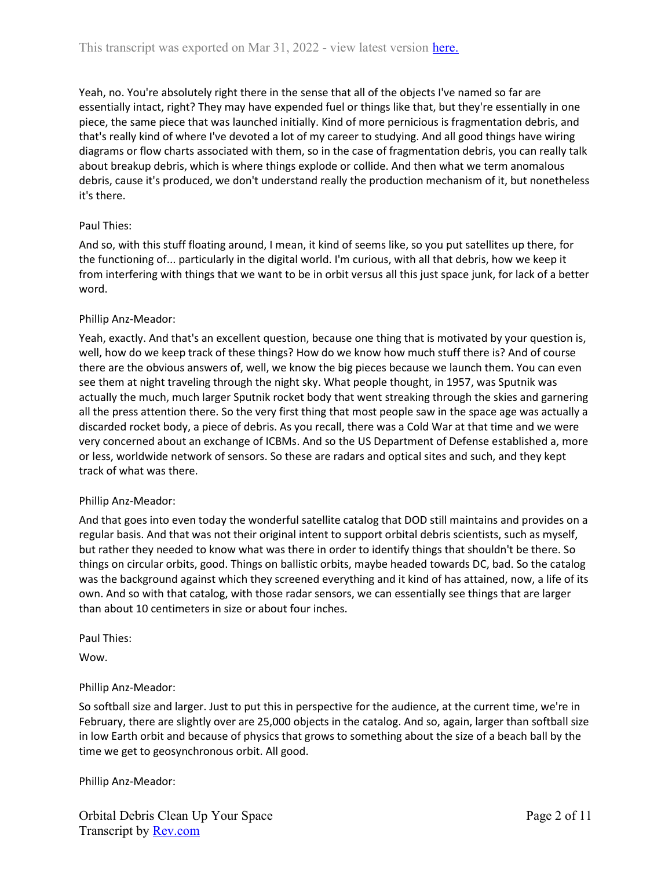Yeah, no. You're absolutely right there in the sense that all of the objects I've named so far are essentially intact, right? They may have expended fuel or things like that, but they're essentially in one piece, the same piece that was launched initially. Kind of more pernicious is fragmentation debris, and that's really kind of where I've devoted a lot of my career to studying. And all good things have wiring diagrams or flow charts associated with them, so in the case of fragmentation debris, you can really talk about breakup debris, which is where things explode or collide. And then what we term anomalous debris, cause it's produced, we don't understand really the production mechanism of it, but nonetheless it's there.

## Paul Thies:

And so, with this stuff floating around, I mean, it kind of seems like, so you put satellites up there, for the functioning of... particularly in the digital world. I'm curious, with all that debris, how we keep it from interfering with things that we want to be in orbit versus all this just space junk, for lack of a better word.

# Phillip Anz-Meador:

Yeah, exactly. And that's an excellent question, because one thing that is motivated by your question is, well, how do we keep track of these things? How do we know how much stuff there is? And of course there are the obvious answers of, well, we know the big pieces because we launch them. You can even see them at night traveling through the night sky. What people thought, in 1957, was Sputnik was actually the much, much larger Sputnik rocket body that went streaking through the skies and garnering all the press attention there. So the very first thing that most people saw in the space age was actually a discarded rocket body, a piece of debris. As you recall, there was a Cold War at that time and we were very concerned about an exchange of ICBMs. And so the US Department of Defense established a, more or less, worldwide network of sensors. So these are radars and optical sites and such, and they kept track of what was there.

## Phillip Anz-Meador:

And that goes into even today the wonderful satellite catalog that DOD still maintains and provides on a regular basis. And that was not their original intent to support orbital debris scientists, such as myself, but rather they needed to know what was there in order to identify things that shouldn't be there. So things on circular orbits, good. Things on ballistic orbits, maybe headed towards DC, bad. So the catalog was the background against which they screened everything and it kind of has attained, now, a life of its own. And so with that catalog, with those radar sensors, we can essentially see things that are larger than about 10 centimeters in size or about four inches.

## Paul Thies:

Wow.

## Phillip Anz-Meador:

So softball size and larger. Just to put this in perspective for the audience, at the current time, we're in February, there are slightly over are 25,000 objects in the catalog. And so, again, larger than softball size in low Earth orbit and because of physics that grows to something about the size of a beach ball by the time we get to geosynchronous orbit. All good.

Phillip Anz-Meador: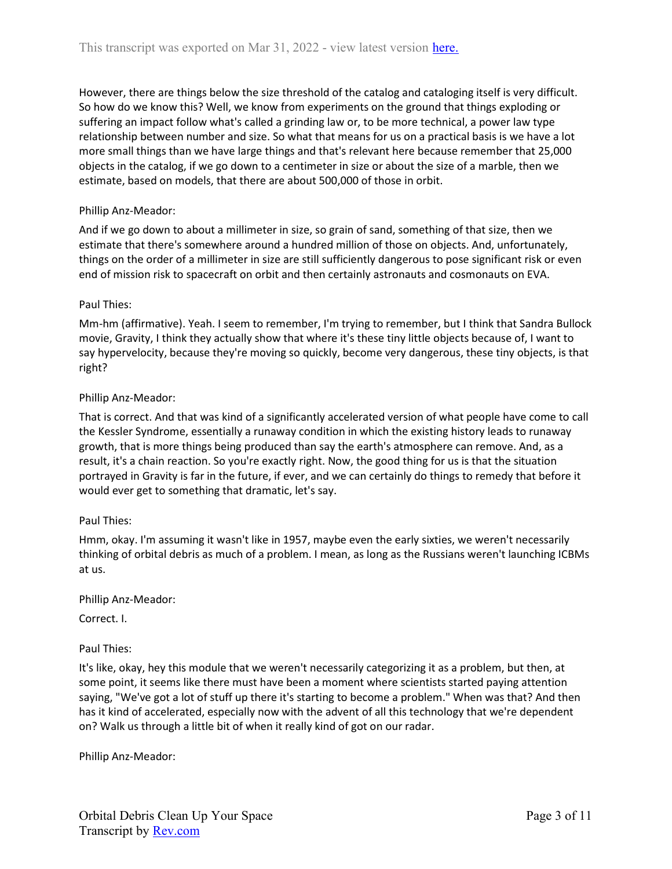However, there are things below the size threshold of the catalog and cataloging itself is very difficult. So how do we know this? Well, we know from experiments on the ground that things exploding or suffering an impact follow what's called a grinding law or, to be more technical, a power law type relationship between number and size. So what that means for us on a practical basis is we have a lot more small things than we have large things and that's relevant here because remember that 25,000 objects in the catalog, if we go down to a centimeter in size or about the size of a marble, then we estimate, based on models, that there are about 500,000 of those in orbit.

# Phillip Anz-Meador:

And if we go down to about a millimeter in size, so grain of sand, something of that size, then we estimate that there's somewhere around a hundred million of those on objects. And, unfortunately, things on the order of a millimeter in size are still sufficiently dangerous to pose significant risk or even end of mission risk to spacecraft on orbit and then certainly astronauts and cosmonauts on EVA.

# Paul Thies:

Mm-hm (affirmative). Yeah. I seem to remember, I'm trying to remember, but I think that Sandra Bullock movie, Gravity, I think they actually show that where it's these tiny little objects because of, I want to say hypervelocity, because they're moving so quickly, become very dangerous, these tiny objects, is that right?

## Phillip Anz-Meador:

That is correct. And that was kind of a significantly accelerated version of what people have come to call the Kessler Syndrome, essentially a runaway condition in which the existing history leads to runaway growth, that is more things being produced than say the earth's atmosphere can remove. And, as a result, it's a chain reaction. So you're exactly right. Now, the good thing for us is that the situation portrayed in Gravity is far in the future, if ever, and we can certainly do things to remedy that before it would ever get to something that dramatic, let's say.

## Paul Thies:

Hmm, okay. I'm assuming it wasn't like in 1957, maybe even the early sixties, we weren't necessarily thinking of orbital debris as much of a problem. I mean, as long as the Russians weren't launching ICBMs at us.

## Phillip Anz-Meador:

Correct. I.

## Paul Thies:

It's like, okay, hey this module that we weren't necessarily categorizing it as a problem, but then, at some point, it seems like there must have been a moment where scientists started paying attention saying, "We've got a lot of stuff up there it's starting to become a problem." When was that? And then has it kind of accelerated, especially now with the advent of all this technology that we're dependent on? Walk us through a little bit of when it really kind of got on our radar.

Phillip Anz-Meador: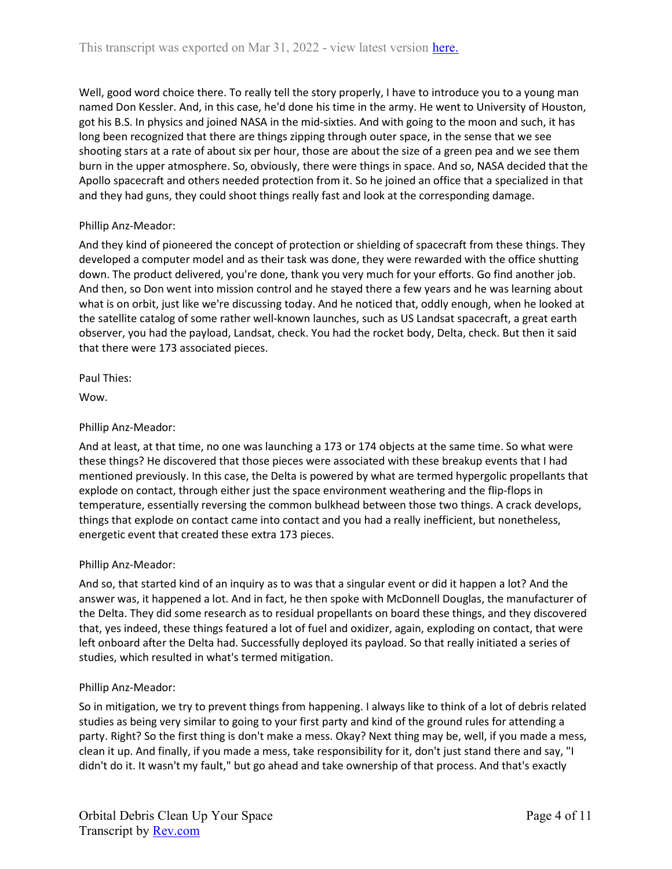Well, good word choice there. To really tell the story properly, I have to introduce you to a young man named Don Kessler. And, in this case, he'd done his time in the army. He went to University of Houston, got his B.S. In physics and joined NASA in the mid-sixties. And with going to the moon and such, it has long been recognized that there are things zipping through outer space, in the sense that we see shooting stars at a rate of about six per hour, those are about the size of a green pea and we see them burn in the upper atmosphere. So, obviously, there were things in space. And so, NASA decided that the Apollo spacecraft and others needed protection from it. So he joined an office that a specialized in that and they had guns, they could shoot things really fast and look at the corresponding damage.

# Phillip Anz-Meador:

And they kind of pioneered the concept of protection or shielding of spacecraft from these things. They developed a computer model and as their task was done, they were rewarded with the office shutting down. The product delivered, you're done, thank you very much for your efforts. Go find another job. And then, so Don went into mission control and he stayed there a few years and he was learning about what is on orbit, just like we're discussing today. And he noticed that, oddly enough, when he looked at the satellite catalog of some rather well-known launches, such as US Landsat spacecraft, a great earth observer, you had the payload, Landsat, check. You had the rocket body, Delta, check. But then it said that there were 173 associated pieces.

Paul Thies:

Wow.

## Phillip Anz-Meador:

And at least, at that time, no one was launching a 173 or 174 objects at the same time. So what were these things? He discovered that those pieces were associated with these breakup events that I had mentioned previously. In this case, the Delta is powered by what are termed hypergolic propellants that explode on contact, through either just the space environment weathering and the flip-flops in temperature, essentially reversing the common bulkhead between those two things. A crack develops, things that explode on contact came into contact and you had a really inefficient, but nonetheless, energetic event that created these extra 173 pieces.

## Phillip Anz-Meador:

And so, that started kind of an inquiry as to was that a singular event or did it happen a lot? And the answer was, it happened a lot. And in fact, he then spoke with McDonnell Douglas, the manufacturer of the Delta. They did some research as to residual propellants on board these things, and they discovered that, yes indeed, these things featured a lot of fuel and oxidizer, again, exploding on contact, that were left onboard after the Delta had. Successfully deployed its payload. So that really initiated a series of studies, which resulted in what's termed mitigation.

## Phillip Anz-Meador:

So in mitigation, we try to prevent things from happening. I always like to think of a lot of debris related studies as being very similar to going to your first party and kind of the ground rules for attending a party. Right? So the first thing is don't make a mess. Okay? Next thing may be, well, if you made a mess, clean it up. And finally, if you made a mess, take responsibility for it, don't just stand there and say, "I didn't do it. It wasn't my fault," but go ahead and take ownership of that process. And that's exactly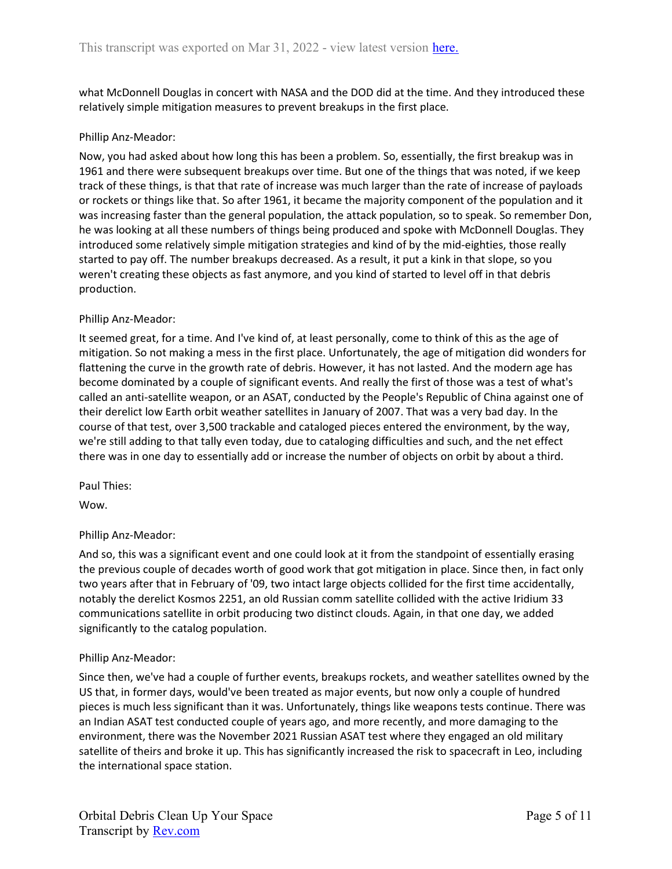what McDonnell Douglas in concert with NASA and the DOD did at the time. And they introduced these relatively simple mitigation measures to prevent breakups in the first place.

# Phillip Anz-Meador:

Now, you had asked about how long this has been a problem. So, essentially, the first breakup was in 1961 and there were subsequent breakups over time. But one of the things that was noted, if we keep track of these things, is that that rate of increase was much larger than the rate of increase of payloads or rockets or things like that. So after 1961, it became the majority component of the population and it was increasing faster than the general population, the attack population, so to speak. So remember Don, he was looking at all these numbers of things being produced and spoke with McDonnell Douglas. They introduced some relatively simple mitigation strategies and kind of by the mid-eighties, those really started to pay off. The number breakups decreased. As a result, it put a kink in that slope, so you weren't creating these objects as fast anymore, and you kind of started to level off in that debris production.

## Phillip Anz-Meador:

It seemed great, for a time. And I've kind of, at least personally, come to think of this as the age of mitigation. So not making a mess in the first place. Unfortunately, the age of mitigation did wonders for flattening the curve in the growth rate of debris. However, it has not lasted. And the modern age has become dominated by a couple of significant events. And really the first of those was a test of what's called an anti-satellite weapon, or an ASAT, conducted by the People's Republic of China against one of their derelict low Earth orbit weather satellites in January of 2007. That was a very bad day. In the course of that test, over 3,500 trackable and cataloged pieces entered the environment, by the way, we're still adding to that tally even today, due to cataloging difficulties and such, and the net effect there was in one day to essentially add or increase the number of objects on orbit by about a third.

Paul Thies:

Wow.

## Phillip Anz-Meador:

And so, this was a significant event and one could look at it from the standpoint of essentially erasing the previous couple of decades worth of good work that got mitigation in place. Since then, in fact only two years after that in February of '09, two intact large objects collided for the first time accidentally, notably the derelict Kosmos 2251, an old Russian comm satellite collided with the active Iridium 33 communications satellite in orbit producing two distinct clouds. Again, in that one day, we added significantly to the catalog population.

## Phillip Anz-Meador:

Since then, we've had a couple of further events, breakups rockets, and weather satellites owned by the US that, in former days, would've been treated as major events, but now only a couple of hundred pieces is much less significant than it was. Unfortunately, things like weapons tests continue. There was an Indian ASAT test conducted couple of years ago, and more recently, and more damaging to the environment, there was the November 2021 Russian ASAT test where they engaged an old military satellite of theirs and broke it up. This has significantly increased the risk to spacecraft in Leo, including the international space station.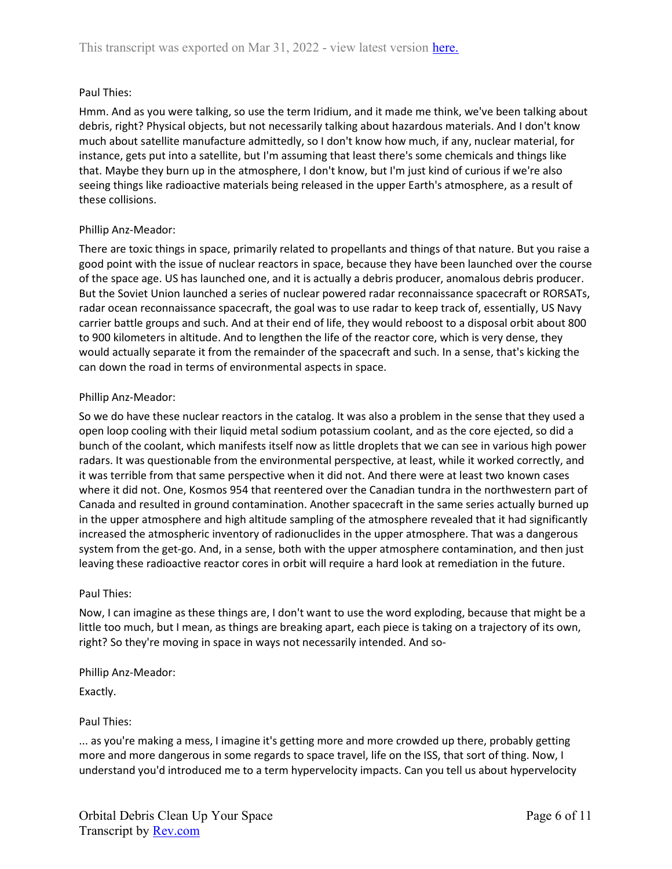# Paul Thies:

Hmm. And as you were talking, so use the term Iridium, and it made me think, we've been talking about debris, right? Physical objects, but not necessarily talking about hazardous materials. And I don't know much about satellite manufacture admittedly, so I don't know how much, if any, nuclear material, for instance, gets put into a satellite, but I'm assuming that least there's some chemicals and things like that. Maybe they burn up in the atmosphere, I don't know, but I'm just kind of curious if we're also seeing things like radioactive materials being released in the upper Earth's atmosphere, as a result of these collisions.

# Phillip Anz-Meador:

There are toxic things in space, primarily related to propellants and things of that nature. But you raise a good point with the issue of nuclear reactors in space, because they have been launched over the course of the space age. US has launched one, and it is actually a debris producer, anomalous debris producer. But the Soviet Union launched a series of nuclear powered radar reconnaissance spacecraft or RORSATs, radar ocean reconnaissance spacecraft, the goal was to use radar to keep track of, essentially, US Navy carrier battle groups and such. And at their end of life, they would reboost to a disposal orbit about 800 to 900 kilometers in altitude. And to lengthen the life of the reactor core, which is very dense, they would actually separate it from the remainder of the spacecraft and such. In a sense, that's kicking the can down the road in terms of environmental aspects in space.

## Phillip Anz-Meador:

So we do have these nuclear reactors in the catalog. It was also a problem in the sense that they used a open loop cooling with their liquid metal sodium potassium coolant, and as the core ejected, so did a bunch of the coolant, which manifests itself now as little droplets that we can see in various high power radars. It was questionable from the environmental perspective, at least, while it worked correctly, and it was terrible from that same perspective when it did not. And there were at least two known cases where it did not. One, Kosmos 954 that reentered over the Canadian tundra in the northwestern part of Canada and resulted in ground contamination. Another spacecraft in the same series actually burned up in the upper atmosphere and high altitude sampling of the atmosphere revealed that it had significantly increased the atmospheric inventory of radionuclides in the upper atmosphere. That was a dangerous system from the get-go. And, in a sense, both with the upper atmosphere contamination, and then just leaving these radioactive reactor cores in orbit will require a hard look at remediation in the future.

## Paul Thies:

Now, I can imagine as these things are, I don't want to use the word exploding, because that might be a little too much, but I mean, as things are breaking apart, each piece is taking on a trajectory of its own, right? So they're moving in space in ways not necessarily intended. And so-

# Phillip Anz-Meador:

Exactly.

## Paul Thies:

... as you're making a mess, I imagine it's getting more and more crowded up there, probably getting more and more dangerous in some regards to space travel, life on the ISS, that sort of thing. Now, I understand you'd introduced me to a term hypervelocity impacts. Can you tell us about hypervelocity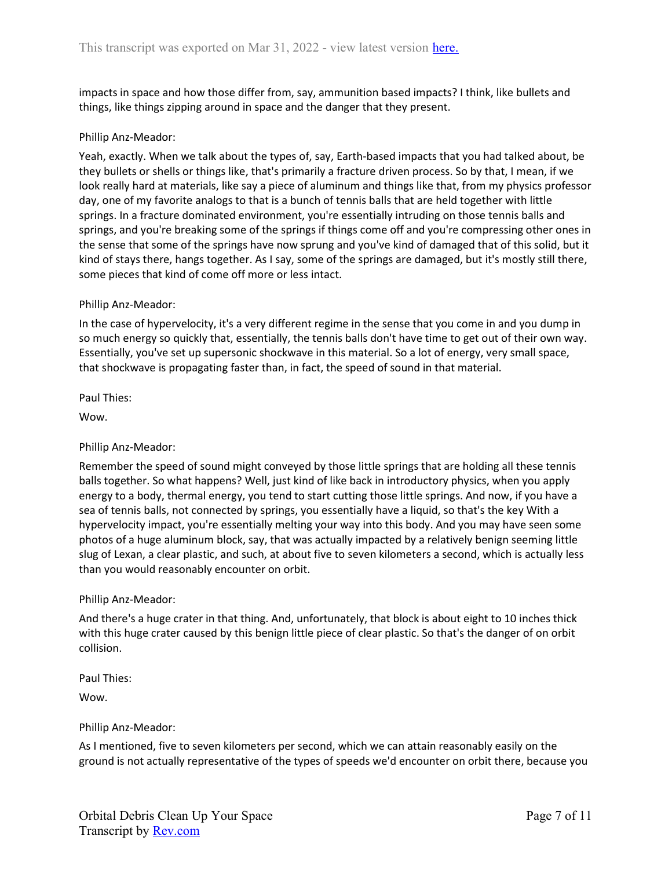impacts in space and how those differ from, say, ammunition based impacts? I think, like bullets and things, like things zipping around in space and the danger that they present.

## Phillip Anz-Meador:

Yeah, exactly. When we talk about the types of, say, Earth-based impacts that you had talked about, be they bullets or shells or things like, that's primarily a fracture driven process. So by that, I mean, if we look really hard at materials, like say a piece of aluminum and things like that, from my physics professor day, one of my favorite analogs to that is a bunch of tennis balls that are held together with little springs. In a fracture dominated environment, you're essentially intruding on those tennis balls and springs, and you're breaking some of the springs if things come off and you're compressing other ones in the sense that some of the springs have now sprung and you've kind of damaged that of this solid, but it kind of stays there, hangs together. As I say, some of the springs are damaged, but it's mostly still there, some pieces that kind of come off more or less intact.

#### Phillip Anz-Meador:

In the case of hypervelocity, it's a very different regime in the sense that you come in and you dump in so much energy so quickly that, essentially, the tennis balls don't have time to get out of their own way. Essentially, you've set up supersonic shockwave in this material. So a lot of energy, very small space, that shockwave is propagating faster than, in fact, the speed of sound in that material.

Paul Thies:

Wow.

Phillip Anz-Meador:

Remember the speed of sound might conveyed by those little springs that are holding all these tennis balls together. So what happens? Well, just kind of like back in introductory physics, when you apply energy to a body, thermal energy, you tend to start cutting those little springs. And now, if you have a sea of tennis balls, not connected by springs, you essentially have a liquid, so that's the key With a hypervelocity impact, you're essentially melting your way into this body. And you may have seen some photos of a huge aluminum block, say, that was actually impacted by a relatively benign seeming little slug of Lexan, a clear plastic, and such, at about five to seven kilometers a second, which is actually less than you would reasonably encounter on orbit.

#### Phillip Anz-Meador:

And there's a huge crater in that thing. And, unfortunately, that block is about eight to 10 inches thick with this huge crater caused by this benign little piece of clear plastic. So that's the danger of on orbit collision.

Paul Thies:

Wow.

#### Phillip Anz-Meador:

As I mentioned, five to seven kilometers per second, which we can attain reasonably easily on the ground is not actually representative of the types of speeds we'd encounter on orbit there, because you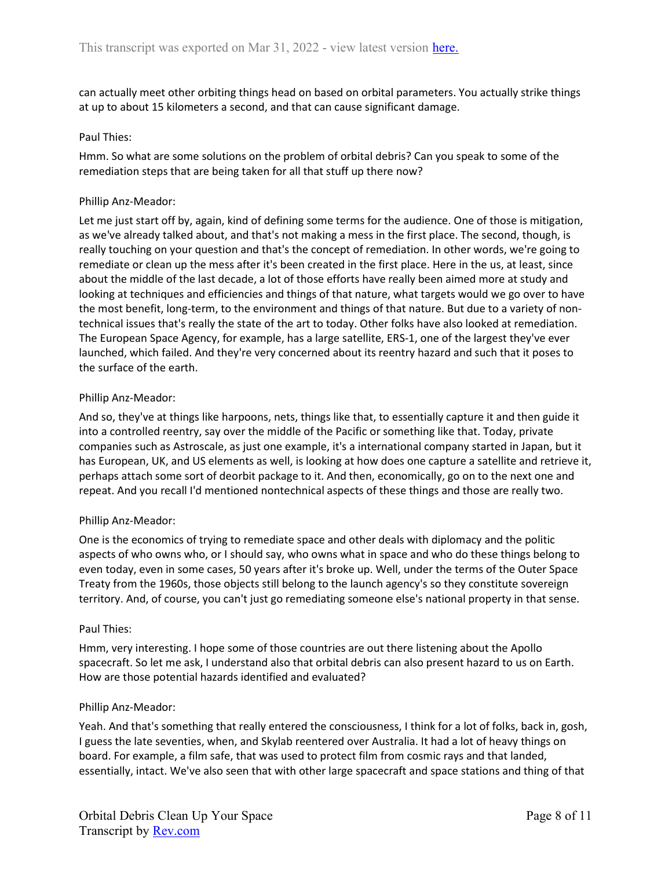can actually meet other orbiting things head on based on orbital parameters. You actually strike things at up to about 15 kilometers a second, and that can cause significant damage.

#### Paul Thies:

Hmm. So what are some solutions on the problem of orbital debris? Can you speak to some of the remediation steps that are being taken for all that stuff up there now?

#### Phillip Anz-Meador:

Let me just start off by, again, kind of defining some terms for the audience. One of those is mitigation, as we've already talked about, and that's not making a mess in the first place. The second, though, is really touching on your question and that's the concept of remediation. In other words, we're going to remediate or clean up the mess after it's been created in the first place. Here in the us, at least, since about the middle of the last decade, a lot of those efforts have really been aimed more at study and looking at techniques and efficiencies and things of that nature, what targets would we go over to have the most benefit, long-term, to the environment and things of that nature. But due to a variety of nontechnical issues that's really the state of the art to today. Other folks have also looked at remediation. The European Space Agency, for example, has a large satellite, ERS-1, one of the largest they've ever launched, which failed. And they're very concerned about its reentry hazard and such that it poses to the surface of the earth.

#### Phillip Anz-Meador:

And so, they've at things like harpoons, nets, things like that, to essentially capture it and then guide it into a controlled reentry, say over the middle of the Pacific or something like that. Today, private companies such as Astroscale, as just one example, it's a international company started in Japan, but it has European, UK, and US elements as well, is looking at how does one capture a satellite and retrieve it, perhaps attach some sort of deorbit package to it. And then, economically, go on to the next one and repeat. And you recall I'd mentioned nontechnical aspects of these things and those are really two.

#### Phillip Anz-Meador:

One is the economics of trying to remediate space and other deals with diplomacy and the politic aspects of who owns who, or I should say, who owns what in space and who do these things belong to even today, even in some cases, 50 years after it's broke up. Well, under the terms of the Outer Space Treaty from the 1960s, those objects still belong to the launch agency's so they constitute sovereign territory. And, of course, you can't just go remediating someone else's national property in that sense.

#### Paul Thies:

Hmm, very interesting. I hope some of those countries are out there listening about the Apollo spacecraft. So let me ask, I understand also that orbital debris can also present hazard to us on Earth. How are those potential hazards identified and evaluated?

#### Phillip Anz-Meador:

Yeah. And that's something that really entered the consciousness, I think for a lot of folks, back in, gosh, I guess the late seventies, when, and Skylab reentered over Australia. It had a lot of heavy things on board. For example, a film safe, that was used to protect film from cosmic rays and that landed, essentially, intact. We've also seen that with other large spacecraft and space stations and thing of that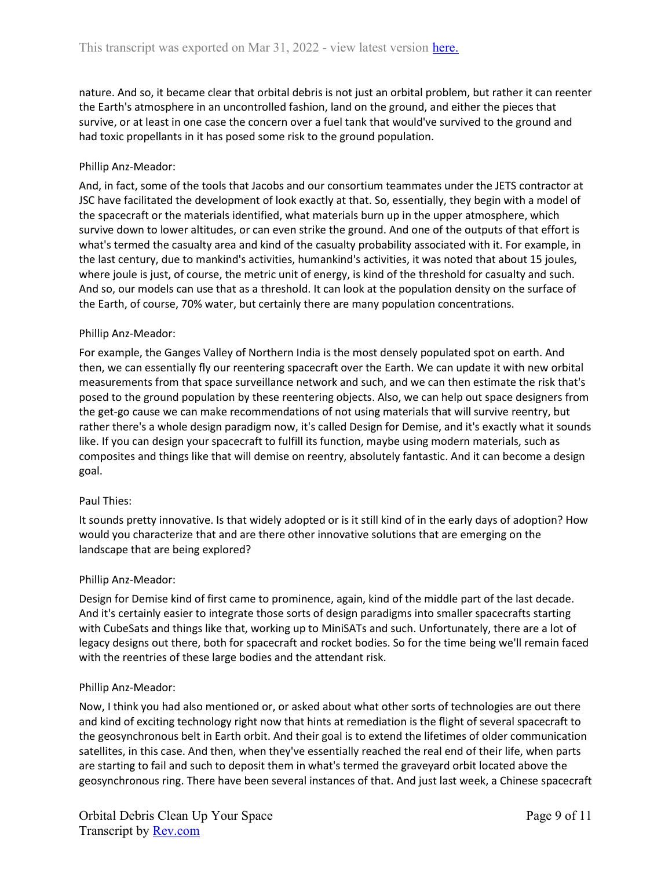nature. And so, it became clear that orbital debris is not just an orbital problem, but rather it can reenter the Earth's atmosphere in an uncontrolled fashion, land on the ground, and either the pieces that survive, or at least in one case the concern over a fuel tank that would've survived to the ground and had toxic propellants in it has posed some risk to the ground population.

# Phillip Anz-Meador:

And, in fact, some of the tools that Jacobs and our consortium teammates under the JETS contractor at JSC have facilitated the development of look exactly at that. So, essentially, they begin with a model of the spacecraft or the materials identified, what materials burn up in the upper atmosphere, which survive down to lower altitudes, or can even strike the ground. And one of the outputs of that effort is what's termed the casualty area and kind of the casualty probability associated with it. For example, in the last century, due to mankind's activities, humankind's activities, it was noted that about 15 joules, where joule is just, of course, the metric unit of energy, is kind of the threshold for casualty and such. And so, our models can use that as a threshold. It can look at the population density on the surface of the Earth, of course, 70% water, but certainly there are many population concentrations.

## Phillip Anz-Meador:

For example, the Ganges Valley of Northern India is the most densely populated spot on earth. And then, we can essentially fly our reentering spacecraft over the Earth. We can update it with new orbital measurements from that space surveillance network and such, and we can then estimate the risk that's posed to the ground population by these reentering objects. Also, we can help out space designers from the get-go cause we can make recommendations of not using materials that will survive reentry, but rather there's a whole design paradigm now, it's called Design for Demise, and it's exactly what it sounds like. If you can design your spacecraft to fulfill its function, maybe using modern materials, such as composites and things like that will demise on reentry, absolutely fantastic. And it can become a design goal.

## Paul Thies:

It sounds pretty innovative. Is that widely adopted or is it still kind of in the early days of adoption? How would you characterize that and are there other innovative solutions that are emerging on the landscape that are being explored?

## Phillip Anz-Meador:

Design for Demise kind of first came to prominence, again, kind of the middle part of the last decade. And it's certainly easier to integrate those sorts of design paradigms into smaller spacecrafts starting with CubeSats and things like that, working up to MiniSATs and such. Unfortunately, there are a lot of legacy designs out there, both for spacecraft and rocket bodies. So for the time being we'll remain faced with the reentries of these large bodies and the attendant risk.

## Phillip Anz-Meador:

Now, I think you had also mentioned or, or asked about what other sorts of technologies are out there and kind of exciting technology right now that hints at remediation is the flight of several spacecraft to the geosynchronous belt in Earth orbit. And their goal is to extend the lifetimes of older communication satellites, in this case. And then, when they've essentially reached the real end of their life, when parts are starting to fail and such to deposit them in what's termed the graveyard orbit located above the geosynchronous ring. There have been several instances of that. And just last week, a Chinese spacecraft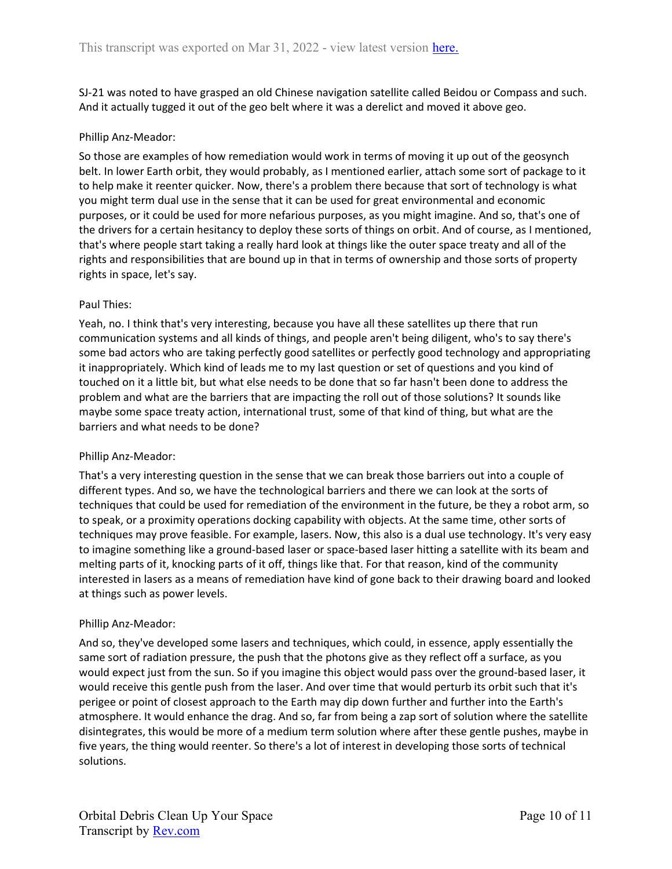SJ-21 was noted to have grasped an old Chinese navigation satellite called Beidou or Compass and such. And it actually tugged it out of the geo belt where it was a derelict and moved it above geo.

# Phillip Anz-Meador:

So those are examples of how remediation would work in terms of moving it up out of the geosynch belt. In lower Earth orbit, they would probably, as I mentioned earlier, attach some sort of package to it to help make it reenter quicker. Now, there's a problem there because that sort of technology is what you might term dual use in the sense that it can be used for great environmental and economic purposes, or it could be used for more nefarious purposes, as you might imagine. And so, that's one of the drivers for a certain hesitancy to deploy these sorts of things on orbit. And of course, as I mentioned, that's where people start taking a really hard look at things like the outer space treaty and all of the rights and responsibilities that are bound up in that in terms of ownership and those sorts of property rights in space, let's say.

## Paul Thies:

Yeah, no. I think that's very interesting, because you have all these satellites up there that run communication systems and all kinds of things, and people aren't being diligent, who's to say there's some bad actors who are taking perfectly good satellites or perfectly good technology and appropriating it inappropriately. Which kind of leads me to my last question or set of questions and you kind of touched on it a little bit, but what else needs to be done that so far hasn't been done to address the problem and what are the barriers that are impacting the roll out of those solutions? It sounds like maybe some space treaty action, international trust, some of that kind of thing, but what are the barriers and what needs to be done?

## Phillip Anz-Meador:

That's a very interesting question in the sense that we can break those barriers out into a couple of different types. And so, we have the technological barriers and there we can look at the sorts of techniques that could be used for remediation of the environment in the future, be they a robot arm, so to speak, or a proximity operations docking capability with objects. At the same time, other sorts of techniques may prove feasible. For example, lasers. Now, this also is a dual use technology. It's very easy to imagine something like a ground-based laser or space-based laser hitting a satellite with its beam and melting parts of it, knocking parts of it off, things like that. For that reason, kind of the community interested in lasers as a means of remediation have kind of gone back to their drawing board and looked at things such as power levels.

## Phillip Anz-Meador:

And so, they've developed some lasers and techniques, which could, in essence, apply essentially the same sort of radiation pressure, the push that the photons give as they reflect off a surface, as you would expect just from the sun. So if you imagine this object would pass over the ground-based laser, it would receive this gentle push from the laser. And over time that would perturb its orbit such that it's perigee or point of closest approach to the Earth may dip down further and further into the Earth's atmosphere. It would enhance the drag. And so, far from being a zap sort of solution where the satellite disintegrates, this would be more of a medium term solution where after these gentle pushes, maybe in five years, the thing would reenter. So there's a lot of interest in developing those sorts of technical solutions.